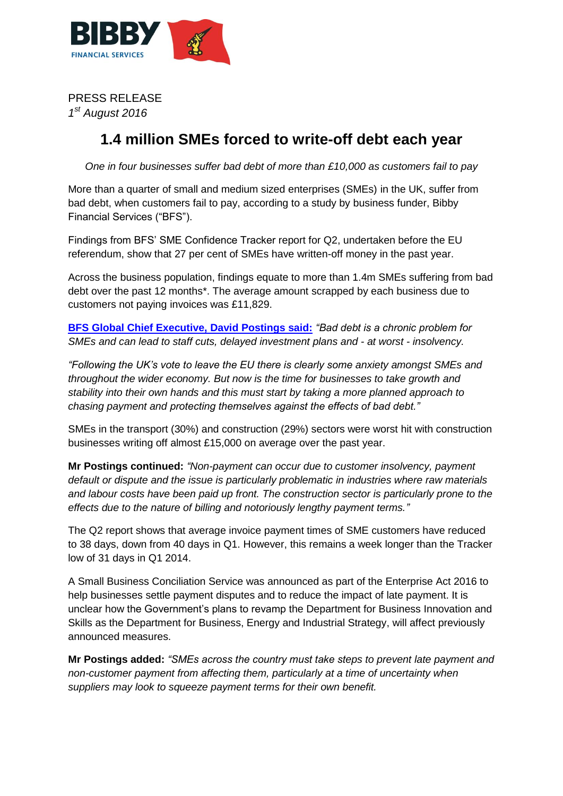

PRESS RELEASE *1 st August 2016*

## **1.4 million SMEs forced to write-off debt each year**

*One in four businesses suffer bad debt of more than £10,000 as customers fail to pay*

More than a quarter of small and medium sized enterprises (SMEs) in the UK, suffer from bad debt, when customers fail to pay, according to a study by business funder, Bibby Financial Services ("BFS").

Findings from BFS' SME Confidence Tracker report for Q2, undertaken before the EU referendum, show that 27 per cent of SMEs have written-off money in the past year.

Across the business population, findings equate to more than 1.4m SMEs suffering from bad debt over the past 12 months\*. The average amount scrapped by each business due to customers not paying invoices was £11,829.

**[BFS Global Chief Executive, David Postings said:](http://www.davidpostings.co.uk/)** *"Bad debt is a chronic problem for SMEs and can lead to staff cuts, delayed investment plans and - at worst - insolvency.*

*"Following the UK's vote to leave the EU there is clearly some anxiety amongst SMEs and throughout the wider economy. But now is the time for businesses to take growth and stability into their own hands and this must start by taking a more planned approach to chasing payment and protecting themselves against the effects of bad debt."*

SMEs in the transport (30%) and construction (29%) sectors were worst hit with construction businesses writing off almost £15,000 on average over the past year.

**Mr Postings continued:** *"Non-payment can occur due to customer insolvency, payment default or dispute and the issue is particularly problematic in industries where raw materials and labour costs have been paid up front. The construction sector is particularly prone to the effects due to the nature of billing and notoriously lengthy payment terms."*

The Q2 report shows that average invoice payment times of SME customers have reduced to 38 days, down from 40 days in Q1. However, this remains a week longer than the Tracker low of 31 days in Q1 2014.

A Small Business Conciliation Service was announced as part of the Enterprise Act 2016 to help businesses settle payment disputes and to reduce the impact of late payment. It is unclear how the Government's plans to revamp the Department for Business Innovation and Skills as the Department for Business, Energy and Industrial Strategy, will affect previously announced measures.

**Mr Postings added:** *"SMEs across the country must take steps to prevent late payment and non-customer payment from affecting them, particularly at a time of uncertainty when suppliers may look to squeeze payment terms for their own benefit.*